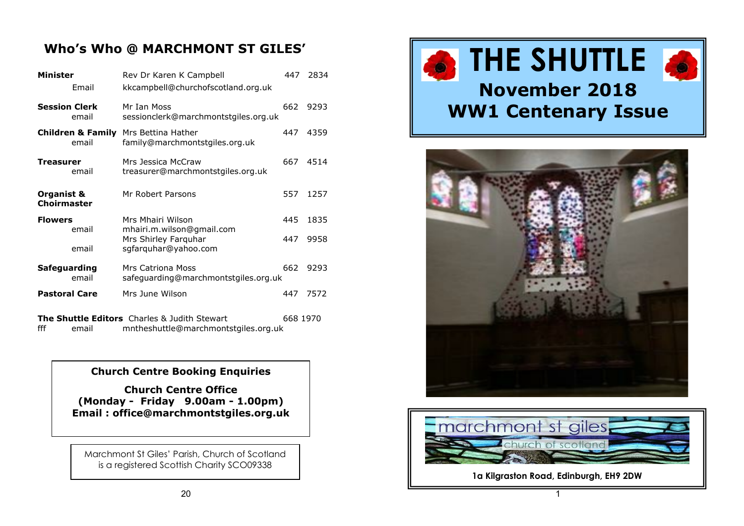# **Who's Who @ MARCHMONT ST GILES'**

| <b>Minister</b>                  |       | Rev Dr Karen K Campbell                                                                     |          | 2834 |
|----------------------------------|-------|---------------------------------------------------------------------------------------------|----------|------|
|                                  | Email | kkcampbell@churchofscotland.org.uk                                                          |          |      |
| <b>Session Clerk</b>             | email | Mr Ian Moss<br>sessionclerk@marchmontstgiles.org.uk                                         | 662      | 9293 |
|                                  | email | <b>Children &amp; Family</b> Mrs Bettina Hather<br>family@marchmontstgiles.org.uk           | 447      | 4359 |
| Treasurer                        | email | Mrs Jessica McCraw<br>treasurer@marchmontstgiles.org.uk                                     | 667      | 4514 |
| Organist &<br><b>Choirmaster</b> |       | Mr Robert Parsons                                                                           | 557      | 1257 |
| <b>Flowers</b>                   |       | Mrs Mhairi Wilson                                                                           | 445      | 1835 |
|                                  | email | mhairi.m.wilson@gmail.com<br>Mrs Shirley Farquhar                                           | 447      | 9958 |
|                                  | email | sgfarquhar@yahoo.com                                                                        |          |      |
| Safeguarding                     | email | Mrs Catriona Moss<br>safeguarding@marchmontstgiles.org.uk                                   | 662      | 9293 |
| <b>Pastoral Care</b>             |       | Mrs June Wilson                                                                             | 447      | 7572 |
| fff                              | email | <b>The Shuttle Editors</b> Charles & Judith Stewart<br>mntheshuttle@marchmontstgiles.org.uk | 668 1970 |      |

#### **Church Centre Booking Enquiries**

**Church Centre Office (Monday - Friday 9.00am - 1.00pm) Email : office@marchmontstgiles.org.uk**

Marchmont St Giles' Parish, Church of Scotland is a registered Scottish Charity SCO09338







**1a Kilgraston Road, Edinburgh, EH9 2DW**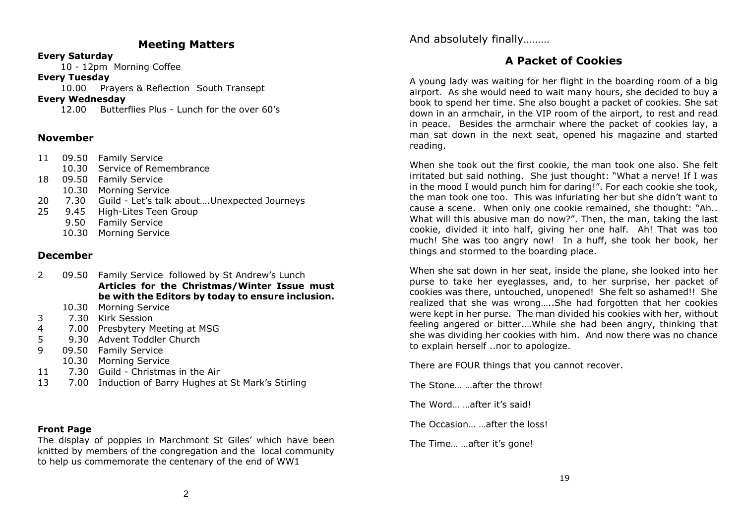#### **Meeting Matters**

#### **Every Saturday**

10 - 12pm Morning Coffee

#### **Every Tuesday**

10.00 Prayers & Reflection South Transept

#### **Every Wednesday**

12.00 Butterflies Plus - Lunch for the over 60's

#### **November**

|    | 11 09.50 Family Service                          |
|----|--------------------------------------------------|
|    | 10.30 Service of Remembrance                     |
| 18 | 09.50 Family Service                             |
|    | 10.30 Morning Service                            |
| 20 | 7.30 Guild - Let's talk aboutUnexpected Journeys |
| 25 | 9.45 High-Lites Teen Group                       |
|    | 9.50 Family Service                              |

10.30 Morning Service

#### **December**

- 2 09.50 Family Service followed by St Andrew's Lunch **Articles for the Christmas/Winter Issue must be with the Editors by today to ensure inclusion.**
	- 10.30 Morning Service
- 3 7.30 Kirk Session
- 4 7.00 Presbytery Meeting at MSG
- 5 9.30 Advent Toddler Church
- 9 09.50 Family Service
- 10.30 Morning Service
- 11 7.30 Guild Christmas in the Air
- 13 7.00 Induction of Barry Hughes at St Mark's Stirling

#### **Front Page**

The display of poppies in Marchmont St Giles' which have been knitted by members of the congregation and the local community to help us commemorate the centenary of the end of WW1

And absolutely finally………

# **A Packet of Cookies**

A young lady was waiting for her flight in the boarding room of a big airport. As she would need to wait many hours, she decided to buy a book to spend her time. She also bought a packet of cookies. She sat down in an armchair, in the VIP room of the airport, to rest and read in peace. Besides the armchair where the packet of cookies lay, a man sat down in the next seat, opened his magazine and started reading.

When she took out the first cookie, the man took one also. She felt irritated but said nothing. She just thought: "What a nerve! If I was in the mood I would punch him for daring!". For each cookie she took, the man took one too. This was infuriating her but she didn't want to cause a scene. When only one cookie remained, she thought: "Ah.. What will this abusive man do now?". Then, the man, taking the last cookie, divided it into half, giving her one half. Ah! That was too much! She was too angry now! In a huff, she took her book, her things and stormed to the boarding place.

When she sat down in her seat, inside the plane, she looked into her purse to take her eyeglasses, and, to her surprise, her packet of cookies was there, untouched, unopened! She felt so ashamed!! She realized that she was wrong…..She had forgotten that her cookies were kept in her purse. The man divided his cookies with her, without feeling angered or bitter.…While she had been angry, thinking that she was dividing her cookies with him. And now there was no chance to explain herself ..nor to apologize.

There are FOUR things that you cannot recover.

The Stone… …after the throw!

The Word… …after it's said!

The Occasion… …after the loss!

The Time… …after it's gone!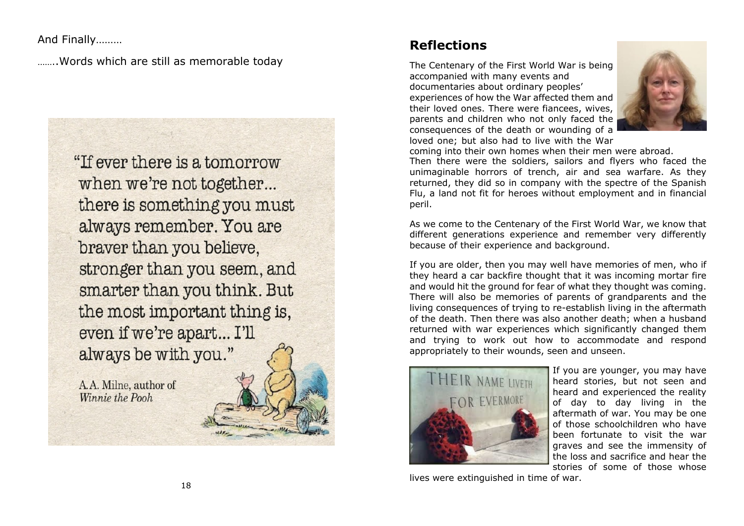And Finally………

……..Words which are still as memorable today

"If ever there is a tomorrow when we're not together... there is something you must always remember. You are braver than you believe, stronger than you seem, and smarter than you think. But the most important thing is, even if we're apart... I'll always be with you."

A.A. Milne, author of Winnie the Pooh

# **Reflections**

The Centenary of the First World War is being accompanied with many events and documentaries about ordinary peoples' experiences of how the War affected them and their loved ones. There were fiancees, wives, parents and children who not only faced the consequences of the death or wounding of a loved one; but also had to live with the War



coming into their own homes when their men were abroad. Then there were the soldiers, sailors and flyers who faced the unimaginable horrors of trench, air and sea warfare. As they returned, they did so in company with the spectre of the Spanish Flu, a land not fit for heroes without employment and in financial peril.

As we come to the Centenary of the First World War, we know that different generations experience and remember very differently because of their experience and background.

If you are older, then you may well have memories of men, who if they heard a car backfire thought that it was incoming mortar fire and would hit the ground for fear of what they thought was coming. There will also be memories of parents of grandparents and the living consequences of trying to re-establish living in the aftermath of the death. Then there was also another death; when a husband returned with war experiences which significantly changed them and trying to work out how to accommodate and respond appropriately to their wounds, seen and unseen.



If you are younger, you may have heard stories, but not seen and heard and experienced the reality of day to day living in the aftermath of war. You may be one of those schoolchildren who have been fortunate to visit the war graves and see the immensity of the loss and sacrifice and hear the stories of some of those whose

lives were extinguished in time of war.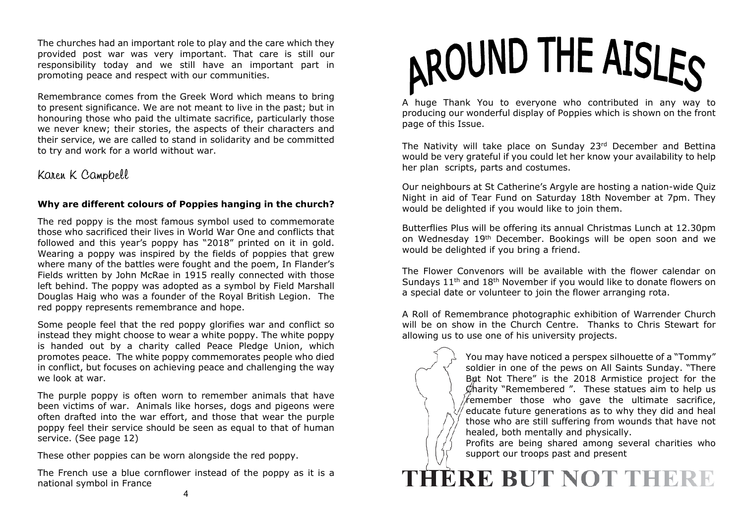The churches had an important role to play and the care which they provided post war was very important. That care is still our responsibility today and we still have an important part in promoting peace and respect with our communities.

Remembrance comes from the Greek Word which means to bring to present significance. We are not meant to live in the past; but in honouring those who paid the ultimate sacrifice, particularly those we never knew; their stories, the aspects of their characters and their service, we are called to stand in solidarity and be committed to try and work for a world without war.

# Karen K Campbell

#### **Why are different colours of Poppies hanging in the church?**

The red poppy is the most famous symbol used to commemorate those who sacrificed their lives in World War One and conflicts that followed and this year's poppy has "2018" printed on it in gold. Wearing a poppy was inspired by the fields of poppies that grew where many of the battles were fought and the poem, In Flander's Fields written by John McRae in 1915 really connected with those left behind. The poppy was adopted as a symbol by Field Marshall Douglas Haig who was a founder of the Royal British Legion. The red poppy represents remembrance and hope.

Some people feel that the red poppy glorifies war and conflict so instead they might choose to wear a white poppy. The white poppy is handed out by a charity called Peace Pledge Union, which promotes peace. The white poppy commemorates people who died in conflict, but focuses on achieving peace and challenging the way we look at war.

The purple poppy is often worn to remember animals that have been victims of war. Animals like horses, dogs and pigeons were often drafted into the war effort, and those that wear the purple poppy feel their service should be seen as equal to that of human service. (See page 12)

These other poppies can be worn alongside the red poppy.

The French use a blue cornflower instead of the poppy as it is a national symbol in France



A huge Thank You to everyone who contributed in any way to producing our wonderful display of Poppies which is shown on the front page of this Issue.

The Nativity will take place on Sunday 23rd December and Bettina would be very grateful if you could let her know your availability to help her plan scripts, parts and costumes.

Our neighbours at St Catherine's Argyle are hosting a nation-wide Quiz Night in aid of Tear Fund on Saturday 18th November at 7pm. They would be delighted if you would like to join them.

Butterflies Plus will be offering its annual Christmas Lunch at 12.30pm on Wednesday 19th December. Bookings will be open soon and we would be delighted if you bring a friend.

The Flower Convenors will be available with the flower calendar on Sundays 11th and 18th November if you would like to donate flowers on a special date or volunteer to join the flower arranging rota.

A Roll of Remembrance photographic exhibition of Warrender Church will be on show in the Church Centre. Thanks to Chris Stewart for allowing us to use one of his university projects.

> You may have noticed a perspex silhouette of a "Tommy" soldier in one of the pews on All Saints Sunday. "There But Not There" is the 2018 Armistice project for the  $\phi$ harity "Remembered ". These statues aim to help us  $\sqrt{r}$ emember those who gave the ultimate sacrifice, educate future generations as to why they did and heal those who are still suffering from wounds that have not healed, both mentally and physically.

Profits are being shared among several charities who support our troops past and present

# THERE BUT NOT THERE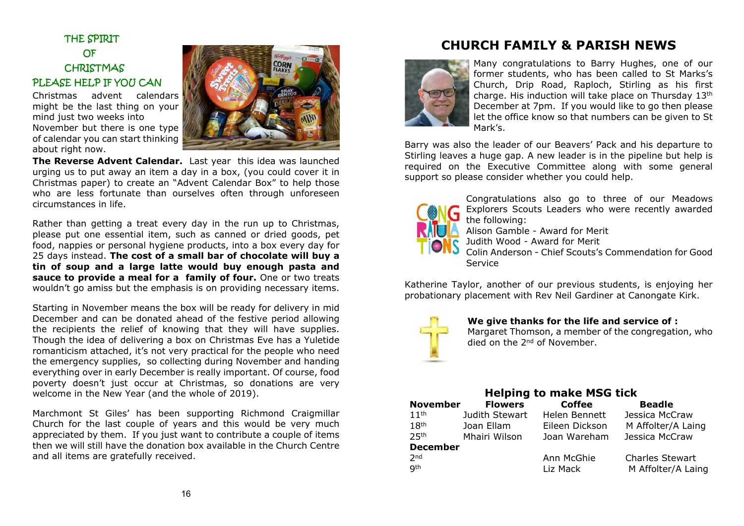THE SPIRIT OF **CHRISTMAS** PLEASE HELP IF YOU CAN

Christmas advent calendars might be the last thing on your mind just two weeks into November but there is one type of calendar you can start thinking about right now.



**The Reverse Advent Calendar.** Last year this idea was launched urging us to put away an item a day in a box, (you could cover it in Christmas paper) to create an "Advent Calendar Box" to help those who are less fortunate than ourselves often through unforeseen circumstances in life.

Rather than getting a treat every day in the run up to Christmas, please put one essential item, such as canned or dried goods, pet food, nappies or personal hygiene products, into a box every day for 25 days instead. **The cost of a small bar of chocolate will buy a tin of soup and a large latte would buy enough pasta and sauce to provide a meal for a family of four.** One or two treats wouldn't go amiss but the emphasis is on providing necessary items.

Starting in November means the box will be ready for delivery in mid December and can be donated ahead of the festive period allowing the recipients the relief of knowing that they will have supplies. Though the idea of delivering a box on Christmas Eve has a Yuletide romanticism attached, it's not very practical for the people who need the emergency supplies, so collecting during November and handing everything over in early December is really important. Of course, food poverty doesn't just occur at Christmas, so donations are very welcome in the New Year (and the whole of 2019).

Marchmont St Giles' has been supporting Richmond Craigmillar Church for the last couple of years and this would be very much appreciated by them. If you just want to contribute a couple of items then we will still have the donation box available in the Church Centre and all items are gratefully received.

# **CHURCH FAMILY & PARISH NEWS**



Many congratulations to Barry Hughes, one of our former students, who has been called to St Marks's Church, Drip Road, Raploch, Stirling as his first charge. His induction will take place on Thursday 13th December at 7pm. If you would like to go then please let the office know so that numbers can be given to St Mark's.

Barry was also the leader of our Beavers' Pack and his departure to Stirling leaves a huge gap. A new leader is in the pipeline but help is required on the Executive Committee along with some general support so please consider whether you could help.



Congratulations also go to three of our Meadows Explorers Scouts Leaders who were recently awarded the following:

Alison Gamble - Award for Merit

Judith Wood - Award for Merit

Colin Anderson - Chief Scouts's Commendation for Good **Service** 

Katherine Taylor, another of our previous students, is enjoying her probationary placement with Rev Neil Gardiner at Canongate Kirk.



**We give thanks for the life and service of :**

Margaret Thomson, a member of the congregation, who died on the 2nd of November.

| <b>Helping to make MSG tick</b> |                |                |                        |  |  |  |  |
|---------------------------------|----------------|----------------|------------------------|--|--|--|--|
| <b>November</b>                 | <b>Flowers</b> | <b>Coffee</b>  | <b>Beadle</b>          |  |  |  |  |
| 11 <sup>th</sup>                | Judith Stewart | Helen Bennett  | Jessica McCraw         |  |  |  |  |
| 18 <sup>th</sup>                | Joan Ellam     | Eileen Dickson | M Affolter/A Laing     |  |  |  |  |
| <b>25th</b>                     | Mhairi Wilson  | Joan Wareham   | Jessica McCraw         |  |  |  |  |
| <b>December</b>                 |                |                |                        |  |  |  |  |
| 2 <sub>nd</sub>                 |                | Ann McGhie     | <b>Charles Stewart</b> |  |  |  |  |
| <b>gth</b>                      |                | Liz Mack       | M Affolter/A Laing     |  |  |  |  |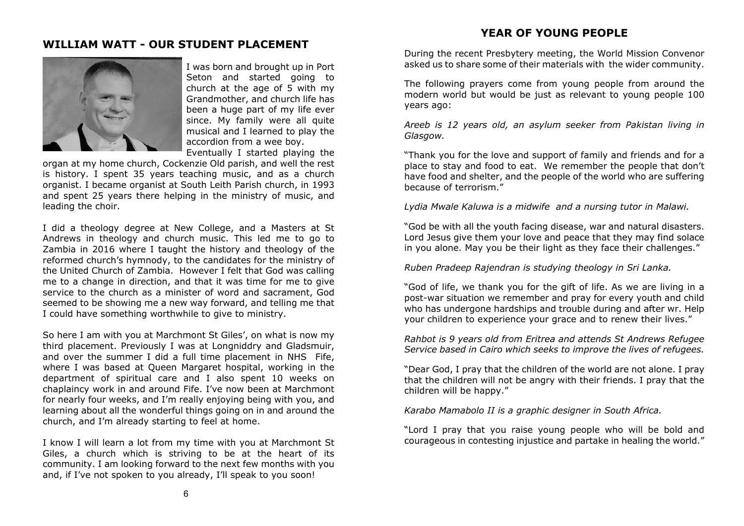#### **YEAR OF YOUNG PEOPLE**

## **WILLIAM WATT - OUR STUDENT PLACEMENT**



I was born and brought up in Port Seton and started going to church at the age of 5 with my Grandmother, and church life has been a huge part of my life ever since. My family were all quite musical and I learned to play the accordion from a wee boy. Eventually I started playing the

organ at my home church, Cockenzie Old parish, and well the rest is history. I spent 35 years teaching music, and as a church organist. I became organist at South Leith Parish church, in 1993 and spent 25 years there helping in the ministry of music, and leading the choir.

I did a theology degree at New College, and a Masters at St Andrews in theology and church music. This led me to go to Zambia in 2016 where I taught the history and theology of the reformed church's hymnody, to the candidates for the ministry of the United Church of Zambia. However I felt that God was calling me to a change in direction, and that it was time for me to give service to the church as a minister of word and sacrament, God seemed to be showing me a new way forward, and telling me that I could have something worthwhile to give to ministry.

So here I am with you at Marchmont St Giles', on what is now my third placement. Previously I was at Longniddry and Gladsmuir, and over the summer I did a full time placement in NHS Fife, where I was based at Queen Margaret hospital, working in the department of spiritual care and I also spent 10 weeks on chaplaincy work in and around Fife. I've now been at Marchmont for nearly four weeks, and I'm really enjoying being with you, and learning about all the wonderful things going on in and around the church, and I'm already starting to feel at home.

I know I will learn a lot from my time with you at Marchmont St Giles, a church which is striving to be at the heart of its community. I am looking forward to the next few months with you and, if I've not spoken to you already, I'll speak to you soon!

During the recent Presbytery meeting, the World Mission Convenor asked us to share some of their materials with the wider community.

The following prayers come from young people from around the modern world but would be just as relevant to young people 100 years ago:

*Areeb is 12 years old, an asylum seeker from Pakistan living in Glasgow.*

"Thank you for the love and support of family and friends and for a place to stay and food to eat. We remember the people that don't have food and shelter, and the people of the world who are suffering because of terrorism."

*Lydia Mwale Kaluwa is a midwife and a nursing tutor in Malawi.*

"God be with all the youth facing disease, war and natural disasters. Lord Jesus give them your love and peace that they may find solace in you alone. May you be their light as they face their challenges."

*Ruben Pradeep Rajendran is studying theology in Sri Lanka.*

"God of life, we thank you for the gift of life. As we are living in a post-war situation we remember and pray for every youth and child who has undergone hardships and trouble during and after wr. Help your children to experience your grace and to renew their lives."

*Rahbot is 9 years old from Eritrea and attends St Andrews Refugee Service based in Cairo which seeks to improve the lives of refugees.*

"Dear God, I pray that the children of the world are not alone. I pray that the children will not be angry with their friends. I pray that the children will be happy."

*Karabo Mamabolo II is a graphic designer in South Africa.*

"Lord I pray that you raise young people who will be bold and courageous in contesting injustice and partake in healing the world."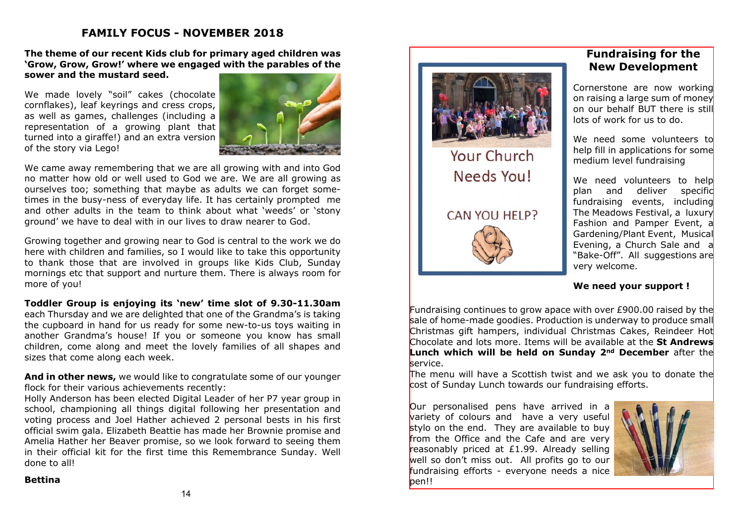## **FAMILY FOCUS - NOVEMBER 2018**

**The theme of our recent Kids club for primary aged children was 'Grow, Grow, Grow!' where we engaged with the parables of the sower and the mustard seed.**

We made lovely "soil" cakes (chocolate cornflakes), leaf keyrings and cress crops, as well as games, challenges (including a representation of a growing plant that turned into a giraffe!) and an extra version of the story via Lego!



We came away remembering that we are all growing with and into God no matter how old or well used to God we are. We are all growing as ourselves too; something that maybe as adults we can forget sometimes in the busy-ness of everyday life. It has certainly prompted me and other adults in the team to think about what 'weeds' or 'stony ground' we have to deal with in our lives to draw nearer to God.

Growing together and growing near to God is central to the work we do here with children and families, so I would like to take this opportunity to thank those that are involved in groups like Kids Club, Sunday mornings etc that support and nurture them. There is always room for more of you!

#### **Toddler Group is enjoying its 'new' time slot of 9.30-11.30am**

each Thursday and we are delighted that one of the Grandma's is taking the cupboard in hand for us ready for some new-to-us toys waiting in another Grandma's house! If you or someone you know has small children, come along and meet the lovely families of all shapes and sizes that come along each week.

**And in other news,** we would like to congratulate some of our younger flock for their various achievements recently:

Holly Anderson has been elected Digital Leader of her P7 year group in school, championing all things digital following her presentation and voting process and Joel Hather achieved 2 personal bests in his first official swim gala. Elizabeth Beattie has made her Brownie promise and Amelia Hather her Beaver promise, so we look forward to seeing them in their official kit for the first time this Remembrance Sunday. Well done to all!

#### **Bettina**



# **Fundraising for the New Development**

Cornerstone are now working on raising a large sum of money on our behalf BUT there is still lots of work for us to do.

We need some volunteers to help fill in applications for some medium level fundraising

We need volunteers to help plan and deliver specific fundraising events, including The Meadows Festival, a luxury Fashion and Pamper Event, a Gardening/Plant Event, Musical Evening, a Church Sale and a "Bake-Off". All suggestions are very welcome.

#### **We need your support !**

Fundraising continues to grow apace with over  $E900.00$  raised by the sale of home-made goodies. Production is underway to produce small Christmas gift hampers, individual Christmas Cakes, Reindeer Hot Chocolate and lots more. Items will be available at the **St Andrews Lunch which will be held on Sunday 2nd December** after the service.

The menu will have a Scottish twist and we ask you to donate the cost of Sunday Lunch towards our fundraising efforts.

Our personalised pens have arrived in a variety of colours and have a very useful stylo on the end. They are available to buy from the Office and the Cafe and are very reasonably priced at £1.99. Already selling well so don't miss out. All profits go to our fundraising efforts - everyone needs a nice ben!!

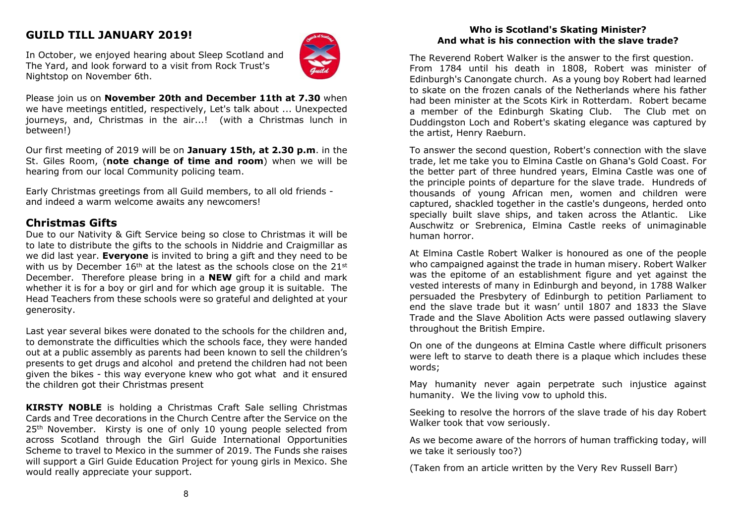# **GUILD TILL JANUARY 2019!**



In October, we enjoyed hearing about Sleep Scotland and The Yard, and look forward to a visit from Rock Trust's Nightstop on November 6th.

Please join us on **November 20th and December 11th at 7.30** when we have meetings entitled, respectively, Let's talk about ... Unexpected journeys, and, Christmas in the air...! (with a Christmas lunch in between!)

Our first meeting of 2019 will be on **January 15th, at 2.30 p.m**. in the St. Giles Room, (**note change of time and room**) when we will be hearing from our local Community policing team.

Early Christmas greetings from all Guild members, to all old friends and indeed a warm welcome awaits any newcomers!

#### **Christmas Gifts**

Due to our Nativity & Gift Service being so close to Christmas it will be to late to distribute the gifts to the schools in Niddrie and Craigmillar as we did last year. **Everyone** is invited to bring a gift and they need to be with us by December 16<sup>th</sup> at the latest as the schools close on the 21st December. Therefore please bring in a **NEW** gift for a child and mark whether it is for a boy or girl and for which age group it is suitable. The Head Teachers from these schools were so grateful and delighted at your generosity.

Last year several bikes were donated to the schools for the children and, to demonstrate the difficulties which the schools face, they were handed out at a public assembly as parents had been known to sell the children's presents to get drugs and alcohol and pretend the children had not been given the bikes - this way everyone knew who got what and it ensured the children got their Christmas present

**KIRSTY NOBLE** is holding a Christmas Craft Sale selling Christmas Cards and Tree decorations in the Church Centre after the Service on the 25<sup>th</sup> November. Kirsty is one of only 10 young people selected from across Scotland through the Girl Guide International Opportunities Scheme to travel to Mexico in the summer of 2019. The Funds she raises will support a Girl Guide Education Project for young girls in Mexico. She would really appreciate your support.

#### **Who is Scotland's Skating Minister? And what is his connection with the slave trade?**

The Reverend Robert Walker is the answer to the first question. From 1784 until his death in 1808, Robert was minister of Edinburgh's Canongate church. As a young boy Robert had learned to skate on the frozen canals of the Netherlands where his father had been minister at the Scots Kirk in Rotterdam. Robert became a member of the Edinburgh Skating Club. The Club met on Duddingston Loch and Robert's skating elegance was captured by the artist, Henry Raeburn.

To answer the second question, Robert's connection with the slave trade, let me take you to Elmina Castle on Ghana's Gold Coast. For the better part of three hundred years, Elmina Castle was one of the principle points of departure for the slave trade. Hundreds of thousands of young African men, women and children were captured, shackled together in the castle's dungeons, herded onto specially built slave ships, and taken across the Atlantic. Like Auschwitz or Srebrenica, Elmina Castle reeks of unimaginable human horror.

At Elmina Castle Robert Walker is honoured as one of the people who campaigned against the trade in human misery. Robert Walker was the epitome of an establishment figure and yet against the vested interests of many in Edinburgh and beyond, in 1788 Walker persuaded the Presbytery of Edinburgh to petition Parliament to end the slave trade but it wasn' until 1807 and 1833 the Slave Trade and the Slave Abolition Acts were passed outlawing slavery throughout the British Empire.

On one of the dungeons at Elmina Castle where difficult prisoners were left to starve to death there is a plaque which includes these words;

May humanity never again perpetrate such injustice against humanity. We the living vow to uphold this.

Seeking to resolve the horrors of the slave trade of his day Robert Walker took that vow seriously.

As we become aware of the horrors of human trafficking today, will we take it seriously too?)

(Taken from an article written by the Very Rev Russell Barr)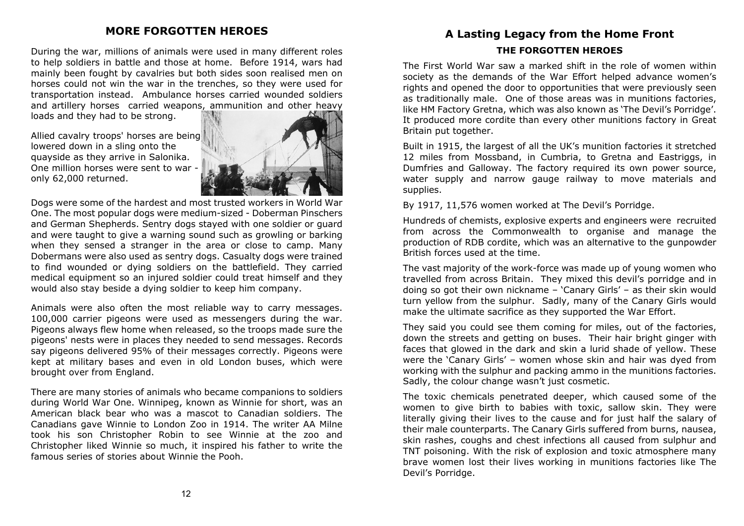## **MORE FORGOTTEN HEROES**

During the war, millions of animals were used in many different roles to help soldiers in battle and those at home. Before 1914, wars had mainly been fought by cavalries but both sides soon realised men on horses could not win the war in the trenches, so they were used for transportation instead. Ambulance horses carried wounded soldiers and artillery horses carried weapons, ammunition and other heavy

loads and they had to be strong.

Allied cavalry troops' horses are being lowered down in a sling onto the quayside as they arrive in Salonika. One million horses were sent to war only 62,000 returned.



Dogs were some of the hardest and most trusted workers in World War One. The most popular dogs were medium-sized - Doberman Pinschers and German Shepherds. Sentry dogs stayed with one soldier or guard and were taught to give a warning sound such as growling or barking when they sensed a stranger in the area or close to camp. Many Dobermans were also used as sentry dogs. Casualty dogs were trained to find wounded or dying soldiers on the battlefield. They carried medical equipment so an injured soldier could treat himself and they would also stay beside a dying soldier to keep him company.

Animals were also often the most reliable way to carry messages. 100,000 carrier pigeons were used as messengers during the war. Pigeons always flew home when released, so the troops made sure the pigeons' nests were in places they needed to send messages. Records say pigeons delivered 95% of their messages correctly. Pigeons were kept at military bases and even in old London buses, which were brought over from England.

There are many stories of animals who became companions to soldiers during World War One. Winnipeg, known as Winnie for short, was an American black bear who was a mascot to Canadian soldiers. The Canadians gave Winnie to London Zoo in 1914. The writer AA Milne took his son Christopher Robin to see Winnie at the zoo and Christopher liked Winnie so much, it inspired his father to write the famous series of stories about Winnie the Pooh.

# **A Lasting Legacy from the Home Front THE FORGOTTEN HEROES**

The First World War saw a marked shift in the role of women within society as the demands of the War Effort helped advance women's rights and opened the door to opportunities that were previously seen as traditionally male. One of those areas was in munitions factories, like HM Factory Gretna, which was also known as 'The Devil's Porridge'. It produced more cordite than every other munitions factory in Great Britain put together.

Built in 1915, the largest of all the UK's munition factories it stretched 12 miles from Mossband, in Cumbria, to Gretna and Eastriggs, in Dumfries and Galloway. The factory required its own power source, water supply and narrow gauge railway to move materials and supplies.

By 1917, 11,576 women worked at The Devil's Porridge.

Hundreds of chemists, explosive experts and engineers were recruited from across the Commonwealth to organise and manage the production of RDB cordite, which was an alternative to the gunpowder British forces used at the time.

The vast majority of the work-force was made up of young women who travelled from across Britain. They mixed this devil's porridge and in doing so got their own nickname – 'Canary Girls' – as their skin would turn yellow from the sulphur. Sadly, many of the Canary Girls would make the ultimate sacrifice as they supported the War Effort.

They said you could see them coming for miles, out of the factories, down the streets and getting on buses. Their hair bright ginger with faces that glowed in the dark and skin a lurid shade of yellow. These were the 'Canary Girls' – women whose skin and hair was dyed from working with the sulphur and packing ammo in the munitions factories. Sadly, the colour change wasn't just cosmetic.

The toxic chemicals penetrated deeper, which caused some of the women to give birth to babies with toxic, sallow skin. They were literally giving their lives to the cause and for just half the salary of their male counterparts. The Canary Girls suffered from burns, nausea, skin rashes, coughs and chest infections all caused from sulphur and TNT poisoning. With the risk of explosion and toxic atmosphere many brave women lost their lives working in munitions factories like The Devil's Porridge.